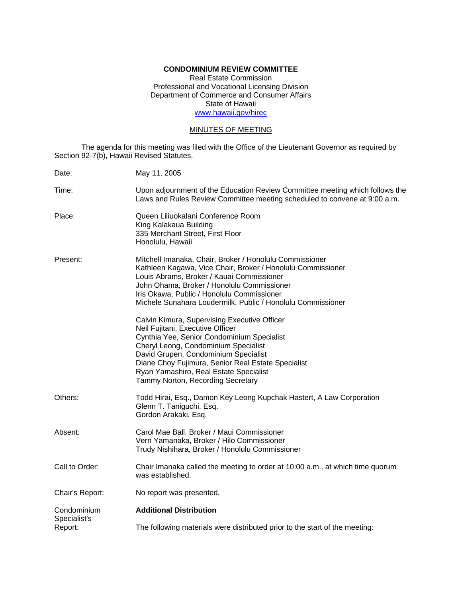# **CONDOMINIUM REVIEW COMMITTEE**

Real Estate Commission Professional and Vocational Licensing Division Department of Commerce and Consumer Affairs State of Hawaii www.hawaii.gov/hirec

# MINUTES OF MEETING

The agenda for this meeting was filed with the Office of the Lieutenant Governor as required by Section 92-7(b), Hawaii Revised Statutes.

| Date:                       | May 11, 2005                                                                                                                                                                                                                                                                                                                                        |
|-----------------------------|-----------------------------------------------------------------------------------------------------------------------------------------------------------------------------------------------------------------------------------------------------------------------------------------------------------------------------------------------------|
| Time:                       | Upon adjournment of the Education Review Committee meeting which follows the<br>Laws and Rules Review Committee meeting scheduled to convene at 9:00 a.m.                                                                                                                                                                                           |
| Place:                      | Queen Liliuokalani Conference Room<br>King Kalakaua Building<br>335 Merchant Street, First Floor<br>Honolulu, Hawaii                                                                                                                                                                                                                                |
| Present:                    | Mitchell Imanaka, Chair, Broker / Honolulu Commissioner<br>Kathleen Kagawa, Vice Chair, Broker / Honolulu Commissioner<br>Louis Abrams, Broker / Kauai Commissioner<br>John Ohama, Broker / Honolulu Commissioner<br>Iris Okawa, Public / Honolulu Commissioner<br>Michele Sunahara Loudermilk, Public / Honolulu Commissioner                      |
|                             | Calvin Kimura, Supervising Executive Officer<br>Neil Fujitani, Executive Officer<br>Cynthia Yee, Senior Condominium Specialist<br>Cheryl Leong, Condominium Specialist<br>David Grupen, Condominium Specialist<br>Diane Choy Fujimura, Senior Real Estate Specialist<br>Ryan Yamashiro, Real Estate Specialist<br>Tammy Norton, Recording Secretary |
| Others:                     | Todd Hirai, Esq., Damon Key Leong Kupchak Hastert, A Law Corporation<br>Glenn T. Taniguchi, Esq.<br>Gordon Arakaki, Esq.                                                                                                                                                                                                                            |
| Absent:                     | Carol Mae Ball, Broker / Maui Commissioner<br>Vern Yamanaka, Broker / Hilo Commissioner<br>Trudy Nishihara, Broker / Honolulu Commissioner                                                                                                                                                                                                          |
| Call to Order:              | Chair Imanaka called the meeting to order at 10:00 a.m., at which time quorum<br>was established.                                                                                                                                                                                                                                                   |
| Chair's Report:             | No report was presented.                                                                                                                                                                                                                                                                                                                            |
| Condominium<br>Specialist's | <b>Additional Distribution</b>                                                                                                                                                                                                                                                                                                                      |
| Report:                     | The following materials were distributed prior to the start of the meeting:                                                                                                                                                                                                                                                                         |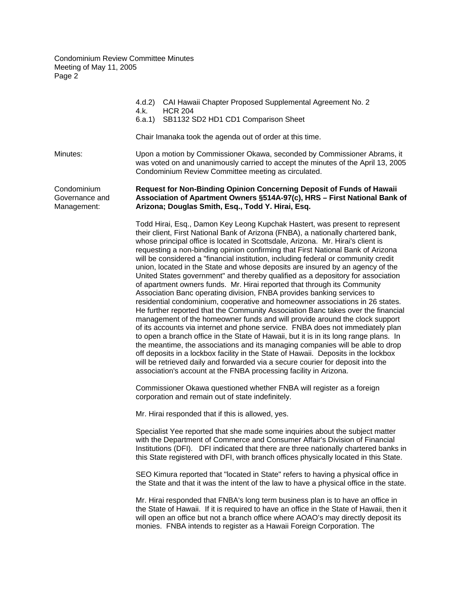|                                              | CAI Hawaii Chapter Proposed Supplemental Agreement No. 2<br>4.d.2)<br>4.k.<br><b>HCR 204</b><br>SB1132 SD2 HD1 CD1 Comparison Sheet<br>6.a.1)                                                                                                                                                                                                                                                                                                                                                                                                                                                                                                                                                                                                                                                                                                                                                                                                                                                                                                                                                                                                                                                                                                                                                                                                                                                                                                                                                                                                                                                   |
|----------------------------------------------|-------------------------------------------------------------------------------------------------------------------------------------------------------------------------------------------------------------------------------------------------------------------------------------------------------------------------------------------------------------------------------------------------------------------------------------------------------------------------------------------------------------------------------------------------------------------------------------------------------------------------------------------------------------------------------------------------------------------------------------------------------------------------------------------------------------------------------------------------------------------------------------------------------------------------------------------------------------------------------------------------------------------------------------------------------------------------------------------------------------------------------------------------------------------------------------------------------------------------------------------------------------------------------------------------------------------------------------------------------------------------------------------------------------------------------------------------------------------------------------------------------------------------------------------------------------------------------------------------|
|                                              | Chair Imanaka took the agenda out of order at this time.                                                                                                                                                                                                                                                                                                                                                                                                                                                                                                                                                                                                                                                                                                                                                                                                                                                                                                                                                                                                                                                                                                                                                                                                                                                                                                                                                                                                                                                                                                                                        |
| Minutes:                                     | Upon a motion by Commissioner Okawa, seconded by Commissioner Abrams, it<br>was voted on and unanimously carried to accept the minutes of the April 13, 2005<br>Condominium Review Committee meeting as circulated.                                                                                                                                                                                                                                                                                                                                                                                                                                                                                                                                                                                                                                                                                                                                                                                                                                                                                                                                                                                                                                                                                                                                                                                                                                                                                                                                                                             |
| Condominium<br>Governance and<br>Management: | Request for Non-Binding Opinion Concerning Deposit of Funds of Hawaii<br>Association of Apartment Owners §514A-97(c), HRS - First National Bank of<br>Arizona; Douglas Smith, Esq., Todd Y. Hirai, Esq.                                                                                                                                                                                                                                                                                                                                                                                                                                                                                                                                                                                                                                                                                                                                                                                                                                                                                                                                                                                                                                                                                                                                                                                                                                                                                                                                                                                         |
|                                              | Todd Hirai, Esq., Damon Key Leong Kupchak Hastert, was present to represent<br>their client, First National Bank of Arizona (FNBA), a nationally chartered bank,<br>whose principal office is located in Scottsdale, Arizona. Mr. Hirai's client is<br>requesting a non-binding opinion confirming that First National Bank of Arizona<br>will be considered a "financial institution, including federal or community credit<br>union, located in the State and whose deposits are insured by an agency of the<br>United States government" and thereby qualified as a depository for association<br>of apartment owners funds. Mr. Hirai reported that through its Community<br>Association Banc operating division, FNBA provides banking services to<br>residential condominium, cooperative and homeowner associations in 26 states.<br>He further reported that the Community Association Banc takes over the financial<br>management of the homeowner funds and will provide around the clock support<br>of its accounts via internet and phone service. FNBA does not immediately plan<br>to open a branch office in the State of Hawaii, but it is in its long range plans. In<br>the meantime, the associations and its managing companies will be able to drop<br>off deposits in a lockbox facility in the State of Hawaii. Deposits in the lockbox<br>will be retrieved daily and forwarded via a secure courier for deposit into the<br>association's account at the FNBA processing facility in Arizona.<br>Commissioner Okawa questioned whether FNBA will register as a foreign |
|                                              | corporation and remain out of state indefinitely.                                                                                                                                                                                                                                                                                                                                                                                                                                                                                                                                                                                                                                                                                                                                                                                                                                                                                                                                                                                                                                                                                                                                                                                                                                                                                                                                                                                                                                                                                                                                               |
|                                              | Mr. Hirai responded that if this is allowed, yes.                                                                                                                                                                                                                                                                                                                                                                                                                                                                                                                                                                                                                                                                                                                                                                                                                                                                                                                                                                                                                                                                                                                                                                                                                                                                                                                                                                                                                                                                                                                                               |
|                                              | Specialist Yee reported that she made some inquiries about the subject matter<br>with the Department of Commerce and Consumer Affair's Division of Financial<br>Institutions (DFI). DFI indicated that there are three nationally chartered banks in<br>this State registered with DFI, with branch offices physically located in this State.                                                                                                                                                                                                                                                                                                                                                                                                                                                                                                                                                                                                                                                                                                                                                                                                                                                                                                                                                                                                                                                                                                                                                                                                                                                   |
|                                              | SEO Kimura reported that "located in State" refers to having a physical office in<br>the State and that it was the intent of the law to have a physical office in the state.                                                                                                                                                                                                                                                                                                                                                                                                                                                                                                                                                                                                                                                                                                                                                                                                                                                                                                                                                                                                                                                                                                                                                                                                                                                                                                                                                                                                                    |
|                                              | Mr. Hirai responded that FNBA's long term business plan is to have an office in<br>the State of Hawaii. If it is required to have an office in the State of Hawaii, then it<br>will open an office but not a branch office where AOAO's may directly deposit its<br>monies. FNBA intends to register as a Hawaii Foreign Corporation. The                                                                                                                                                                                                                                                                                                                                                                                                                                                                                                                                                                                                                                                                                                                                                                                                                                                                                                                                                                                                                                                                                                                                                                                                                                                       |
|                                              |                                                                                                                                                                                                                                                                                                                                                                                                                                                                                                                                                                                                                                                                                                                                                                                                                                                                                                                                                                                                                                                                                                                                                                                                                                                                                                                                                                                                                                                                                                                                                                                                 |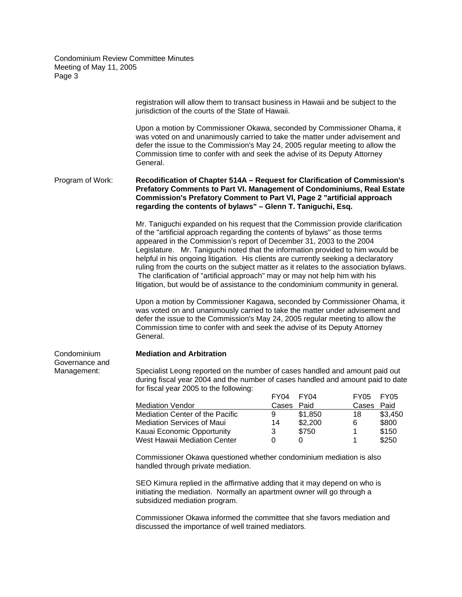|                               | registration will allow them to transact business in Hawaii and be subject to the<br>jurisdiction of the courts of the State of Hawaii.                                                                                                                                                                                                                                                                                                                                                                                                                                                                                                                                                                                                                                                                                                                                                                                                                                                                          |             |             |             |                |  |
|-------------------------------|------------------------------------------------------------------------------------------------------------------------------------------------------------------------------------------------------------------------------------------------------------------------------------------------------------------------------------------------------------------------------------------------------------------------------------------------------------------------------------------------------------------------------------------------------------------------------------------------------------------------------------------------------------------------------------------------------------------------------------------------------------------------------------------------------------------------------------------------------------------------------------------------------------------------------------------------------------------------------------------------------------------|-------------|-------------|-------------|----------------|--|
|                               | Upon a motion by Commissioner Okawa, seconded by Commissioner Ohama, it<br>was voted on and unanimously carried to take the matter under advisement and<br>defer the issue to the Commission's May 24, 2005 regular meeting to allow the<br>Commission time to confer with and seek the advise of its Deputy Attorney<br>General.                                                                                                                                                                                                                                                                                                                                                                                                                                                                                                                                                                                                                                                                                |             |             |             |                |  |
| Program of Work:              | Recodification of Chapter 514A - Request for Clarification of Commission's<br>Prefatory Comments to Part VI. Management of Condominiums, Real Estate<br>Commission's Prefatory Comment to Part VI, Page 2 "artificial approach<br>regarding the contents of bylaws" - Glenn T. Taniguchi, Esq.                                                                                                                                                                                                                                                                                                                                                                                                                                                                                                                                                                                                                                                                                                                   |             |             |             |                |  |
|                               | Mr. Taniguchi expanded on his request that the Commission provide clarification<br>of the "artificial approach regarding the contents of bylaws" as those terms<br>appeared in the Commission's report of December 31, 2003 to the 2004<br>Legislature. Mr. Taniguchi noted that the information provided to him would be<br>helpful in his ongoing litigation. His clients are currently seeking a declaratory<br>ruling from the courts on the subject matter as it relates to the association bylaws.<br>The clarification of "artificial approach" may or may not help him with his<br>litigation, but would be of assistance to the condominium community in general.<br>Upon a motion by Commissioner Kagawa, seconded by Commissioner Ohama, it<br>was voted on and unanimously carried to take the matter under advisement and<br>defer the issue to the Commission's May 24, 2005 regular meeting to allow the<br>Commission time to confer with and seek the advise of its Deputy Attorney<br>General. |             |             |             |                |  |
| Condominium                   | <b>Mediation and Arbitration</b>                                                                                                                                                                                                                                                                                                                                                                                                                                                                                                                                                                                                                                                                                                                                                                                                                                                                                                                                                                                 |             |             |             |                |  |
| Governance and<br>Management: | Specialist Leong reported on the number of cases handled and amount paid out<br>during fiscal year 2004 and the number of cases handled and amount paid to date<br>for fiscal year 2005 to the following:                                                                                                                                                                                                                                                                                                                                                                                                                                                                                                                                                                                                                                                                                                                                                                                                        |             |             |             |                |  |
|                               |                                                                                                                                                                                                                                                                                                                                                                                                                                                                                                                                                                                                                                                                                                                                                                                                                                                                                                                                                                                                                  | <b>FY04</b> | <b>FY04</b> | <b>FY05</b> | <b>FY05</b>    |  |
|                               | <b>Mediation Vendor</b>                                                                                                                                                                                                                                                                                                                                                                                                                                                                                                                                                                                                                                                                                                                                                                                                                                                                                                                                                                                          | Cases       | Paid        | Cases       | Paid           |  |
|                               | Mediation Center of the Pacific                                                                                                                                                                                                                                                                                                                                                                                                                                                                                                                                                                                                                                                                                                                                                                                                                                                                                                                                                                                  | 9           | \$1,850     | 18          | \$3,450        |  |
|                               | <b>Mediation Services of Maui</b>                                                                                                                                                                                                                                                                                                                                                                                                                                                                                                                                                                                                                                                                                                                                                                                                                                                                                                                                                                                | 14          | \$2,200     | 6           | \$800          |  |
|                               | Kauai Economic Opportunity<br>West Hawaii Mediation Center                                                                                                                                                                                                                                                                                                                                                                                                                                                                                                                                                                                                                                                                                                                                                                                                                                                                                                                                                       | 3<br>0      | \$750<br>0  | 1<br>1      | \$150<br>\$250 |  |
|                               | Commissioner Okawa questioned whether condominium mediation is also<br>handled through private mediation.                                                                                                                                                                                                                                                                                                                                                                                                                                                                                                                                                                                                                                                                                                                                                                                                                                                                                                        |             |             |             |                |  |
|                               | SEO Kimura replied in the affirmative adding that it may depend on who is<br>initiating the mediation. Normally an apartment owner will go through a<br>subsidized mediation program.                                                                                                                                                                                                                                                                                                                                                                                                                                                                                                                                                                                                                                                                                                                                                                                                                            |             |             |             |                |  |
|                               | Commissioner Okawa informed the committee that she favors mediation and<br>discussed the importance of well trained mediators.                                                                                                                                                                                                                                                                                                                                                                                                                                                                                                                                                                                                                                                                                                                                                                                                                                                                                   |             |             |             |                |  |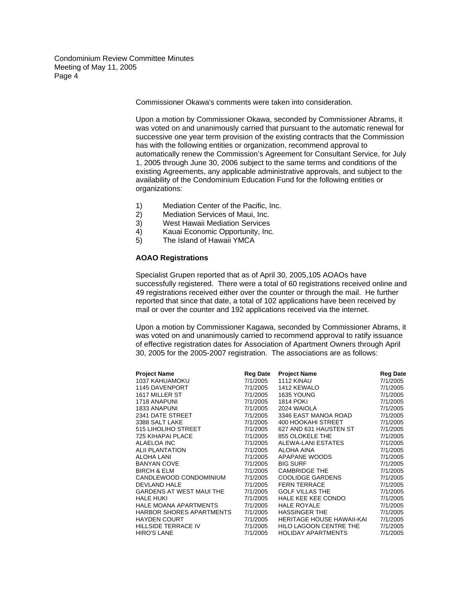Commissioner Okawa's comments were taken into consideration.

Upon a motion by Commissioner Okawa, seconded by Commissioner Abrams, it was voted on and unanimously carried that pursuant to the automatic renewal for successive one year term provision of the existing contracts that the Commission has with the following entities or organization, recommend approval to automatically renew the Commission's Agreement for Consultant Service, for July 1, 2005 through June 30, 2006 subject to the same terms and conditions of the existing Agreements, any applicable administrative approvals, and subject to the availability of the Condominium Education Fund for the following entities or organizations:

- 1) Mediation Center of the Pacific, Inc.
- 2) Mediation Services of Maui, Inc.
- 3) West Hawaii Mediation Services
- 4) Kauai Economic Opportunity, Inc.
- 5) The Island of Hawaii YMCA

# **AOAO Registrations**

Specialist Grupen reported that as of April 30, 2005,105 AOAOs have successfully registered. There were a total of 60 registrations received online and 49 registrations received either over the counter or through the mail. He further reported that since that date, a total of 102 applications have been received by mail or over the counter and 192 applications received via the internet.

Upon a motion by Commissioner Kagawa, seconded by Commissioner Abrams, it was voted on and unanimously carried to recommend approval to ratify issuance of effective registration dates for Association of Apartment Owners through April 30, 2005 for the 2005-2007 registration. The associations are as follows:

| <b>Project Name</b>             | <b>Reg Date</b> | <b>Project Name</b>       | <b>Reg Date</b> |
|---------------------------------|-----------------|---------------------------|-----------------|
| 1037 KAHUAMOKU                  | 7/1/2005        | 1112 KINAU                | 7/1/2005        |
| 1145 DAVENPORT                  | 7/1/2005        | 1412 KEWALO               | 7/1/2005        |
| 1617 MILLER ST                  | 7/1/2005        | 1635 YOUNG                | 7/1/2005        |
| 1718 ANAPUNI                    | 7/1/2005        | <b>1814 POKI</b>          | 7/1/2005        |
| <b>1833 ANAPUNI</b>             | 7/1/2005        | 2024 WAIOLA               | 7/1/2005        |
| 2341 DATE STREET                | 7/1/2005        | 3346 EAST MANOA ROAD      | 7/1/2005        |
| 3388 SALT LAKE                  | 7/1/2005        | 400 HOOKAHI STREET        | 7/1/2005        |
| 515 LIHOLIHO STREET             | 7/1/2005        | 627 AND 631 HAUSTEN ST    | 7/1/2005        |
| 725 KIHAPAI PLACE               | 7/1/2005        | 855 OLOKELE THE           | 7/1/2005        |
| ALAELOA INC                     | 7/1/2005        | ALEWA-LANI ESTATES        | 7/1/2005        |
| <b>ALII PLANTATION</b>          | 7/1/2005        | ALOHA AINA                | 7/1/2005        |
| <b>ALOHA LANI</b>               | 7/1/2005        | APAPANE WOODS             | 7/1/2005        |
| <b>BANYAN COVE</b>              | 7/1/2005        | <b>BIG SURF</b>           | 7/1/2005        |
| <b>BIRCH &amp; ELM</b>          | 7/1/2005        | CAMBRIDGE THE             | 7/1/2005        |
| CANDLEWOOD CONDOMINIUM          | 7/1/2005        | COOLIDGE GARDENS          | 7/1/2005        |
| DEVLAND HALE                    | 7/1/2005        | <b>FERN TERRACE</b>       | 7/1/2005        |
| <b>GARDENS AT WEST MAUI THE</b> | 7/1/2005        | <b>GOLF VILLAS THE</b>    | 7/1/2005        |
| <b>HALE HUKI</b>                | 7/1/2005        | HALE KEE KEE CONDO        | 7/1/2005        |
| <b>HALE MOANA APARTMENTS</b>    | 7/1/2005        | <b>HALE ROYALE</b>        | 7/1/2005        |
| <b>HARBOR SHORES APARTMENTS</b> | 7/1/2005        | <b>HASSINGER THE</b>      | 7/1/2005        |
| <b>HAYDEN COURT</b>             | 7/1/2005        | HERITAGE HOUSE HAWAII-KAI | 7/1/2005        |
| HILLSIDE TERRACE IV             | 7/1/2005        | HILO LAGOON CENTRE THE    | 7/1/2005        |
| <b>HIRO'S LANE</b>              | 7/1/2005        | <b>HOLIDAY APARTMENTS</b> | 7/1/2005        |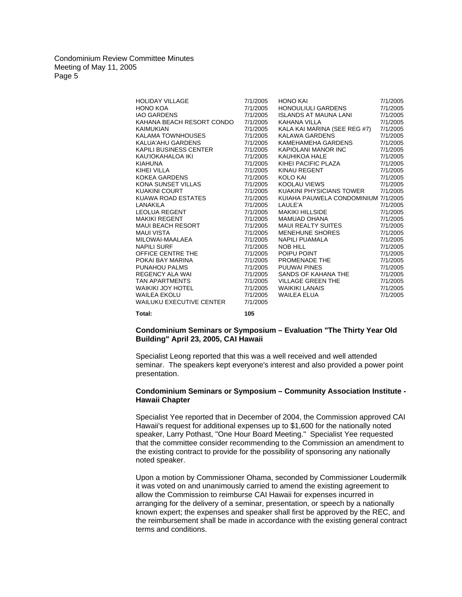| <b>HOLIDAY VILLAGE</b><br><b>HONO KOA</b><br><b>IAO GARDENS</b><br>KAHANA BEACH RESORT CONDO<br><b>KAIMUKIAN</b><br>KALAMA TOWNHOUSES<br>KALUA'AHU GARDENS<br>KAPILI BUSINESS CENTER<br>KAU'IOKAHALOA IKI<br><b>KIAHUNA</b><br>KIHEI VILLA<br>KOKEA GARDENS<br>KONA SUNSET VILLAS<br><b>KUAKINI COURT</b><br>KUAWA ROAD ESTATES<br>LANAKILA<br>LEOLUA REGENT<br>MAKIKI REGENT<br>MAUI BEACH RESORT<br>MAUI VISTA<br>MILOWAI-MAALAEA<br><b>NAPILI SURF</b><br>OFFICE CENTRE THE<br>POKAI BAY MARINA<br>PUNAHOU PALMS<br>REGENCY ALA WAI<br>TAN APARTMENTS<br>WAIKIKI JOY HOTEL<br><b>WAILEA EKOLU</b><br><b>WAILUKU EXECUTIVE CENTER</b> | 7/1/2005<br>7/1/2005<br>7/1/2005<br>7/1/2005<br>7/1/2005<br>7/1/2005<br>7/1/2005<br>7/1/2005<br>7/1/2005<br>7/1/2005<br>7/1/2005<br>7/1/2005<br>7/1/2005<br>7/1/2005<br>7/1/2005<br>7/1/2005<br>7/1/2005<br>7/1/2005<br>7/1/2005<br>7/1/2005<br>7/1/2005<br>7/1/2005<br>7/1/2005<br>7/1/2005<br>7/1/2005<br>7/1/2005<br>7/1/2005<br>7/1/2005<br>7/1/2005<br>7/1/2005 | <b>HONO KAI</b><br>HONOULIULI GARDENS<br><b>ISLANDS AT MAUNA LANI</b><br>KAHANA VILLA<br>KALA KAI MARINA (SEE REG #7)<br>KALAWA GARDENS<br>KAMEHAMEHA GARDENS<br>KAPIOLANI MANOR INC<br><b>KAUHIKOA HALE</b><br>KIHEI PACIFIC PLAZA<br>KINAU REGENT<br>KOLO KAI<br>KOOLAU VIEWS<br>KUAKINI PHYSICIANS TOWER<br>KUIAHA PAUWELA CONDOMINIUM 7/1/2005<br>LAULE'A<br>MAKIKI HILLSIDE <b>WARTAN</b><br>MAMUAD OHANA<br>MAUI REALTY SUITES<br>MENEHUNE SHORES<br><b>NAPILI PUAMALA</b><br><b>NOB HILL</b><br>POIPU POINT<br>PUIPU FUINT<br>PROMENADE THE<br>PULIWAI PINES<br>SANDS OF KAHANA THE<br><b>VILLAGE GREEN THE</b><br><b>WAIKIKI LANAIS</b><br>WAILEA ELUA | 7/1/2005<br>7/1/2005<br>7/1/2005<br>7/1/2005<br>7/1/2005<br>7/1/2005<br>7/1/2005<br>7/1/2005<br>7/1/2005<br>7/1/2005<br>7/1/2005<br>7/1/2005<br>7/1/2005<br>7/1/2005<br>7/1/2005<br>7/1/2005<br>7/1/2005<br>7/1/2005<br>7/1/2005<br>7/1/2005<br>7/1/2005<br>7/1/2005<br>7/1/2005<br>7/1/2005<br>7/1/2005<br>7/1/2005<br>7/1/2005<br>7/1/2005 |
|-----------------------------------------------------------------------------------------------------------------------------------------------------------------------------------------------------------------------------------------------------------------------------------------------------------------------------------------------------------------------------------------------------------------------------------------------------------------------------------------------------------------------------------------------------------------------------------------------------------------------------------------|----------------------------------------------------------------------------------------------------------------------------------------------------------------------------------------------------------------------------------------------------------------------------------------------------------------------------------------------------------------------|----------------------------------------------------------------------------------------------------------------------------------------------------------------------------------------------------------------------------------------------------------------------------------------------------------------------------------------------------------------------------------------------------------------------------------------------------------------------------------------------------------------------------------------------------------------------------------------------------------------------------------------------------------------|----------------------------------------------------------------------------------------------------------------------------------------------------------------------------------------------------------------------------------------------------------------------------------------------------------------------------------------------|
| Total:                                                                                                                                                                                                                                                                                                                                                                                                                                                                                                                                                                                                                                  | 105                                                                                                                                                                                                                                                                                                                                                                  |                                                                                                                                                                                                                                                                                                                                                                                                                                                                                                                                                                                                                                                                |                                                                                                                                                                                                                                                                                                                                              |

## **Condominium Seminars or Symposium – Evaluation "The Thirty Year Old Building" April 23, 2005, CAI Hawaii**

Specialist Leong reported that this was a well received and well attended seminar. The speakers kept everyone's interest and also provided a power point presentation.

# **Condominium Seminars or Symposium – Community Association Institute - Hawaii Chapter**

Specialist Yee reported that in December of 2004, the Commission approved CAI Hawaii's request for additional expenses up to \$1,600 for the nationally noted speaker, Larry Pothast, "One Hour Board Meeting." Specialist Yee requested that the committee consider recommending to the Commission an amendment to the existing contract to provide for the possibility of sponsoring any nationally noted speaker.

Upon a motion by Commissioner Ohama, seconded by Commissioner Loudermilk it was voted on and unanimously carried to amend the existing agreement to allow the Commission to reimburse CAI Hawaii for expenses incurred in arranging for the delivery of a seminar, presentation, or speech by a nationally known expert; the expenses and speaker shall first be approved by the REC, and the reimbursement shall be made in accordance with the existing general contract terms and conditions.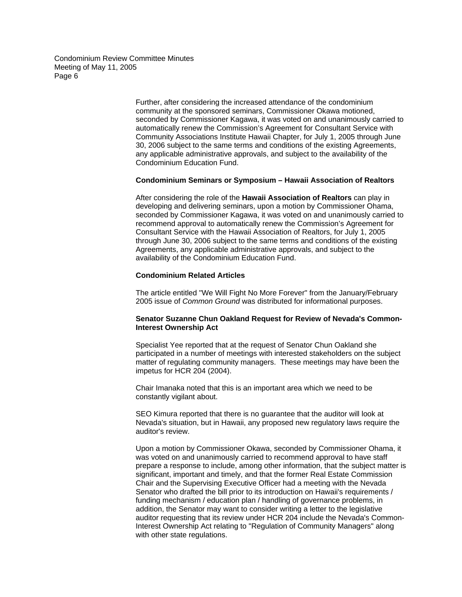> Further, after considering the increased attendance of the condominium community at the sponsored seminars, Commissioner Okawa motioned, seconded by Commissioner Kagawa, it was voted on and unanimously carried to automatically renew the Commission's Agreement for Consultant Service with Community Associations Institute Hawaii Chapter, for July 1, 2005 through June 30, 2006 subject to the same terms and conditions of the existing Agreements, any applicable administrative approvals, and subject to the availability of the Condominium Education Fund.

## **Condominium Seminars or Symposium – Hawaii Association of Realtors**

After considering the role of the **Hawaii Association of Realtors** can play in developing and delivering seminars, upon a motion by Commissioner Ohama, seconded by Commissioner Kagawa, it was voted on and unanimously carried to recommend approval to automatically renew the Commission's Agreement for Consultant Service with the Hawaii Association of Realtors, for July 1, 2005 through June 30, 2006 subject to the same terms and conditions of the existing Agreements, any applicable administrative approvals, and subject to the availability of the Condominium Education Fund.

## **Condominium Related Articles**

The article entitled "We Will Fight No More Forever" from the January/February 2005 issue of *Common Ground* was distributed for informational purposes.

# **Senator Suzanne Chun Oakland Request for Review of Nevada's Common-Interest Ownership Act**

Specialist Yee reported that at the request of Senator Chun Oakland she participated in a number of meetings with interested stakeholders on the subject matter of regulating community managers. These meetings may have been the impetus for HCR 204 (2004).

Chair Imanaka noted that this is an important area which we need to be constantly vigilant about.

SEO Kimura reported that there is no guarantee that the auditor will look at Nevada's situation, but in Hawaii, any proposed new regulatory laws require the auditor's review.

Upon a motion by Commissioner Okawa, seconded by Commissioner Ohama, it was voted on and unanimously carried to recommend approval to have staff prepare a response to include, among other information, that the subject matter is significant, important and timely, and that the former Real Estate Commission Chair and the Supervising Executive Officer had a meeting with the Nevada Senator who drafted the bill prior to its introduction on Hawaii's requirements / funding mechanism / education plan / handling of governance problems, in addition, the Senator may want to consider writing a letter to the legislative auditor requesting that its review under HCR 204 include the Nevada's Common-Interest Ownership Act relating to "Regulation of Community Managers" along with other state regulations.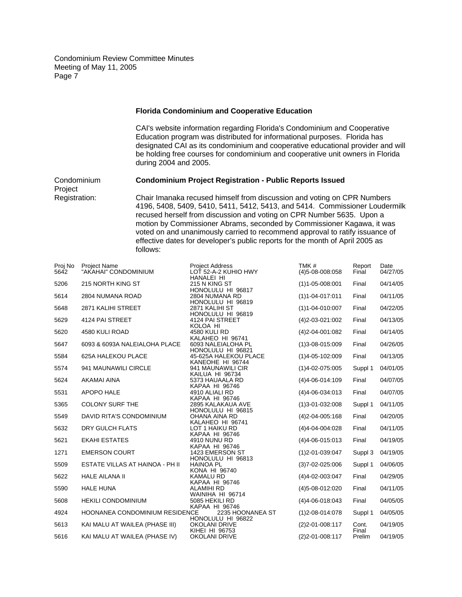### **Florida Condominium and Cooperative Education**

 CAI's website information regarding Florida's Condominium and Cooperative Education program was distributed for informational purposes. Florida has designated CAI as its condominium and cooperative educational provider and will be holding free courses for condominium and cooperative unit owners in Florida during 2004 and 2005.

Condominium **Condominium Project Registration - Public Reports Issued** Project Registration: Chair Imanaka recused himself from discussion and voting on CPR Numbers 4196, 5408, 5409, 5410, 5411, 5412, 5413, and 5414. Commissioner Loudermilk recused herself from discussion and voting on CPR Number 5635. Upon a

motion by Commissioner Abrams, seconded by Commissioner Kagawa, it was voted on and unanimously carried to recommend approval to ratify issuance of effective dates for developer's public reports for the month of April 2005 as follows:

| Proj No<br>5642 | <b>Project Name</b><br>"AKAHAI" CONDOMINIUM | <b>Project Address</b><br>LOT 52-A-2 KUHIO HWY           | TMK#<br>$(4)5 - 08 - 008 \cdot 058$ | Report<br>Final | Date<br>04/27/05 |
|-----------------|---------------------------------------------|----------------------------------------------------------|-------------------------------------|-----------------|------------------|
| 5206            | 215 NORTH KING ST                           | HANALEI HI<br>215 N KING ST                              | $(1)1 - 05 - 008:001$               | Final           | 04/14/05         |
| 5614            | 2804 NUMANA ROAD                            | HONOLULU HI 96817<br>2804 NUMANA RD<br>HONOLULU HI 96819 | $(1)1 - 04 - 017:011$               | Final           | 04/11/05         |
| 5648            | 2871 KALIHI STREET                          | 2871 KALIHI ST<br>HONOLULU HI 96819                      | $(1)1 - 04 - 010:007$               | Final           | 04/22/05         |
| 5629            | 4124 PAI STREET                             | 4124 PAI STREET<br>KOLOA HI                              | $(4)2 - 03 - 021:002$               | Final           | 04/13/05         |
| 5620            | 4580 KULI ROAD                              | 4580 KULI RD<br>KALAHEO HI 96741                         | $(4)2 - 04 - 001:082$               | Final           | 04/14/05         |
| 5647            | 6093 & 6093A NALEIALOHA PLACE               | 6093 NALEIALOHA PL<br>HONOLULU HI 96821                  | $(1)3 - 08 - 015.009$               | Final           | 04/26/05         |
| 5584            | 625A HALEKOU PLACE                          | 45-625A HALEKOU PLACE<br>KANEOHE HI 96744                | $(1)4 - 05 - 102:009$               | Final           | 04/13/05         |
| 5574            | 941 MAUNAWILI CIRCLE                        | 941 MAUNAWILI CIR<br>KAILUA HI 96734                     | $(1)4 - 02 - 075.005$               | Suppl 1         | 04/01/05         |
| 5624            | AKAMAI AINA                                 | 5373 HAUAALA RD<br>KAPAA HI 96746                        | $(4)4 - 06 - 014:109$               | Final           | 04/07/05         |
| 5531            | APOPO HALE                                  | 4910 ALIALI RD<br>KAPAA HI 96746                         | $(4)4 - 06 - 034 \cdot 013$         | Final           | 04/07/05         |
| 5365            | <b>COLONY SURF THE</b>                      | 2895 KALAKAUA AVE<br>HONOLULU HI 96815                   | $(1)3 - 01 - 032:008$               | Suppl 1         | 04/11/05         |
| 5549            | DAVID RITA'S CONDOMINIUM                    | OHANA AINA RD<br>KALAHEO HI 96741                        | $(4)2 - 04 - 005:168$               | Final           | 04/20/05         |
| 5632            | DRY GULCH FLATS                             | LOT 1 HAIKU RD<br><b>KAPAA HI 96746</b>                  | $(4)4 - 04 - 004$ :028              | Final           | 04/11/05         |
| 5621            | <b>EKAHI ESTATES</b>                        | 4910 NUNU RD<br>KAPAA HI 96746                           | $(4)4 - 06 - 015 \cdot 013$         | Final           | 04/19/05         |
| 1271            | <b>EMERSON COURT</b>                        | 1423 EMERSON ST<br>HONOLULU HI 96813                     | $(1)$ 2-01-039:047                  | Suppl 3         | 04/19/05         |
| 5509            | ESTATE VILLAS AT HAINOA - PH II             | <b>HAINOA PL</b><br>KONA HI 96740                        | $(3)7 - 02 - 025:006$               | Suppl 1         | 04/06/05         |
| 5622            | <b>HALE AILANA II</b>                       | <b>KAMALU RD</b><br>KAPAA HI 96746                       | $(4)4 - 02 - 003.047$               | Final           | 04/29/05         |
| 5590            | <b>HALE HUNA</b>                            | ALAMIHI RD<br>WAINIHA HI 96714                           | (4) 5-08-012:020                    | Final           | 04/11/05         |
| 5608            | <b>HEKILI CONDOMINIUM</b>                   | 5085 HEKILI RD<br>KAPAA HI 96746                         | (4)4-06-018:043                     | Final           | 04/05/05         |
| 4924            | HOONANEA CONDOMINIUM RESIDENCE              | 2235 HOONANEA ST<br>HONOLULU HI 96822                    | $(1)2 - 08 - 014:078$               | Suppl 1         | 04/05/05         |
| 5613            | KAI MALU AT WAILEA (PHASE III)              | <b>OKOLANI DRIVE</b><br>KIHEI HI 96753                   | $(2)$ 2-01-008:117                  | Cont.<br>Final  | 04/19/05         |
| 5616            | KAI MALU AT WAILEA (PHASE IV)               | <b>OKOLANI DRIVE</b>                                     | $(2)$ 2-01-008:117                  | Prelim          | 04/19/05         |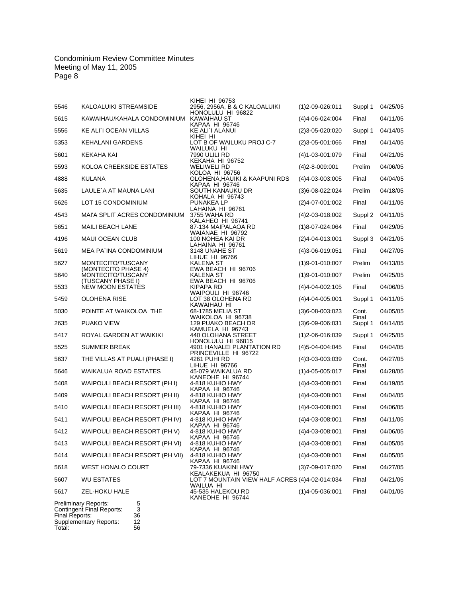|                          |                                                                                                         | KIHEI HI 96753                                                        |                             |                  |          |
|--------------------------|---------------------------------------------------------------------------------------------------------|-----------------------------------------------------------------------|-----------------------------|------------------|----------|
| 5546                     | KALOALUIKI STREAMSIDE                                                                                   | 2956, 2956A, B & C KALOALUIKI<br>HONOLULU HI 96822                    | $(1)2 - 09 - 026:011$       | Suppl 1          | 04/25/05 |
| 5615                     | KAWAIHAU/KAHALA CONDOMINIUM                                                                             | KAWAIHAU ST<br>KAPAA HI 96746                                         | $(4)4 - 06 - 024.004$       | Final            | 04/11/05 |
| 5556                     | KE ALI`I OCEAN VILLAS                                                                                   | KE ALI`I ALANUI                                                       | $(2)3 - 05 - 020:020$       | Suppl 1          | 04/14/05 |
| 5353                     | <b>KEHALANI GARDENS</b>                                                                                 | KIHEI HI<br>LOT B OF WAILUKU PROJ C-7                                 | $(2)3 - 05 - 001:066$       | Final            | 04/14/05 |
| 5601                     | KEKAHA KAI                                                                                              | WAILUKU HI<br>7990 ULILI RD                                           | $(4)1 - 03 - 001:079$       | Final            | 04/21/05 |
| 5593                     | KOLOA CREEKSIDE ESTATES                                                                                 | KEKAHA HI 96752<br>WELIWELI RD                                        | $(4)2 - 8 - 009:001$        | Prelim           | 04/06/05 |
| 4888                     | <b>KULANA</b>                                                                                           | <b>KOLOA HI 96756</b><br>OLOHENA.HAUIKI & KAAPUNI RDS                 | $(4)4 - 03 - 003 \cdot 005$ | Final            | 04/04/05 |
| 5635                     | LAULE'A AT MAUNA LANI                                                                                   | KAPAA HI 96746<br>SOUTH KANAUKU DR                                    | $(3)6 - 08 - 022:024$       | Prelim           | 04/18/05 |
| 5626                     | LOT 15 CONDOMINIUM                                                                                      | KOHALA HI 96743<br><b>PUNAKEA LP</b>                                  | $(2)4 - 07 - 001:002$       | Final            | 04/11/05 |
| 4543                     | MAI'A SPLIT ACRES CONDOMINIUM                                                                           | LAHAINA HI 96761<br>3755 WAHA RD                                      | $(4)$ 2-03-018:002          | Suppl 2          | 04/11/05 |
| 5651                     | <b>MAILI BEACH LANE</b>                                                                                 | KALAHEO HI 96741<br>87-134 MAIPALAOA RD                               | $(1)8 - 07 - 024.064$       | Final            | 04/29/05 |
| 4196                     | MAUI OCEAN CLUB                                                                                         | WAIANAE HI 96792<br>100 NOHEA KAI DR                                  | $(2)4 - 04 - 013 \cdot 001$ | Suppl 3          | 04/21/05 |
| 5619                     | MEA PA'INA CONDOMINIUM                                                                                  | LAHAINA HI 96761<br>3148 UNAHE ST                                     | $(4)3 - 06 - 019:051$       | Final            | 04/27/05 |
| 5627                     | MONTECITO/TUSCANY                                                                                       | LIHUE HI 96766<br>KALENA ST                                           | $(1)9 - 01 - 010:007$       | Prelim           | 04/13/05 |
| 5640                     | (MONTECITO PHASE 4)<br>MONTECITO/TUSCANY                                                                | EWA BEACH HI 96706<br>KALENA ST                                       | $(1)9 - 01 - 010:007$       | Prelim           | 04/25/05 |
| 5533                     | (TUSCANY PHASE I)<br><b>NEW MOON ESTATES</b>                                                            | EWA BEACH HI 96706<br>KIPAPA RD                                       | $(4)4 - 04 - 002:105$       | Final            | 04/06/05 |
| 5459                     | <b>OLOHENA RISE</b>                                                                                     | WAIPOULI HI 96746<br>LOT 38 OLOHENA RD                                | $(4)4 - 04 - 005:001$       | Suppl 1          | 04/11/05 |
| 5030                     | POINTE AT WAIKOLOA THE                                                                                  | KAWAIHAU HI<br>68-1785 MELIA ST                                       | $(3)6 - 08 - 003.023$       | Cont.            | 04/05/05 |
| 2635                     | <b>PUAKO VIEW</b>                                                                                       | WAIKOLOA HI 96738<br>129 PUAKO BEACH DR                               | $(3)6 - 09 - 006 \cdot 031$ | Final<br>Suppl 1 | 04/14/05 |
| 5417                     | ROYAL GARDEN AT WAIKIKI                                                                                 | KAMUELA HI 96743<br>440 OLOHANA STREET                                | $(1)2 - 06 - 016.039$       | Suppl 1          | 04/25/05 |
| 5525                     | <b>SUMMER BREAK</b>                                                                                     | HONOLULU HI 96815<br>4901 HANALEI PLANTATION RD                       | $(4)5 - 04 - 004$ :045      | Final            | 04/04/05 |
| 5637                     | THE VILLAS AT PUALI (PHASE I)                                                                           | PRINCEVILLE HI 96722<br>4261 PUHI RD                                  | $(4)3 - 03 - 003 \cdot 039$ | Cont.            | 04/27/05 |
| 5646                     | <b>WAIKALUA ROAD ESTATES</b>                                                                            | LIHUE HI 96766<br>45-079 WAIKALUA RD                                  | $(1)4 - 05 - 005.017$       | Final<br>Final   | 04/28/05 |
| 5408                     | WAIPOULI BEACH RESORT (PH I)                                                                            | KANEOHE HI 96744<br>4-818 KUHIO HWY                                   | $(4)4 - 03 - 008 \cdot 001$ | Final            | 04/19/05 |
| 5409                     | WAIPOULI BEACH RESORT (PH II)                                                                           | KAPAA HI 96746<br>4-818 KUHIO HWY                                     | $(4)4 - 03 - 008 \cdot 001$ | Final            | 04/04/05 |
| 5410                     | WAIPOULI BEACH RESORT (PH III)                                                                          | KAPAA HI 96746<br>4-818 KUHIO HWY                                     | $(4)4 - 03 - 008:001$       | Final            | 04/06/05 |
| 5411                     | WAIPOULI BEACH RESORT (PH IV)                                                                           | KAPAA HI 96746<br>4-818 KUHIO HWY                                     | $(4)4 - 03 - 008 \cdot 001$ | Final            | 04/11/05 |
| 5412                     | WAIPOULI BEACH RESORT (PH V)                                                                            | KAPAA HI 96746<br>4-818 KUHIO HWY                                     | $(4)4 - 03 - 008:001$       | Final            | 04/06/05 |
| 5413                     | WAIPOULI BEACH RESORT (PH VI)                                                                           | KAPAA HI 96746<br>4-818 KUHIO HWY                                     | $(4)4 - 03 - 008 \cdot 001$ | Final            | 04/05/05 |
| 5414                     | WAIPOULI BEACH RESORT (PH VII)                                                                          | KAPAA HI 96746<br>4-818 KUHIO HWY                                     | $(4)4 - 03 - 008 \cdot 001$ | Final            | 04/05/05 |
| 5618                     | <b>WEST HONALO COURT</b>                                                                                | KAPAA HI 96746<br>79-7336 KUAKINI HWY                                 | $(3)7 - 09 - 017$ :020      | Final            | 04/27/05 |
| 5607                     | <b>WU ESTATES</b>                                                                                       | KEALAKEKUA HI 96750<br>LOT 7 MOUNTAIN VIEW HALF ACRES (4)4-02-014:034 |                             | Final            | 04/21/05 |
| 5617                     | ZEL-HOKU HALE                                                                                           | WAILUA HI<br>45-535 HALEKOU RD<br>KANEOHE HI 96744                    | $(1)4 - 05 - 036:001$       | Final            | 04/01/05 |
| Final Reports:<br>Total: | Preliminary Reports:<br>5<br>3<br>Contingent Final Reports:<br>36<br>Supplementary Reports:<br>12<br>56 |                                                                       |                             |                  |          |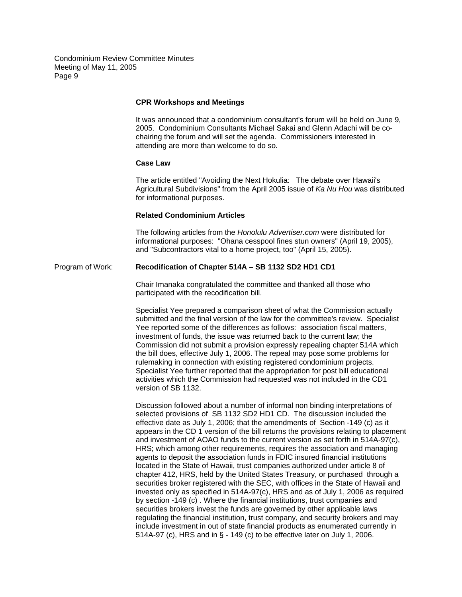# **CPR Workshops and Meetings**

It was announced that a condominium consultant's forum will be held on June 9, 2005. Condominium Consultants Michael Sakai and Glenn Adachi will be cochairing the forum and will set the agenda. Commissioners interested in attending are more than welcome to do so.

#### **Case Law**

The article entitled "Avoiding the Next Hokulia: The debate over Hawaii's Agricultural Subdivisions" from the April 2005 issue of *Ka Nu Hou* was distributed for informational purposes.

#### **Related Condominium Articles**

The following articles from the *Honolulu Advertiser.com* were distributed for informational purposes: "Ohana cesspool fines stun owners" (April 19, 2005), and "Subcontractors vital to a home project, too" (April 15, 2005).

## Program of Work: **Recodification of Chapter 514A – SB 1132 SD2 HD1 CD1**

Chair Imanaka congratulated the committee and thanked all those who participated with the recodification bill.

Specialist Yee prepared a comparison sheet of what the Commission actually submitted and the final version of the law for the committee's review. Specialist Yee reported some of the differences as follows: association fiscal matters, investment of funds, the issue was returned back to the current law; the Commission did not submit a provision expressly repealing chapter 514A which the bill does, effective July 1, 2006. The repeal may pose some problems for rulemaking in connection with existing registered condominium projects. Specialist Yee further reported that the appropriation for post bill educational activities which the Commission had requested was not included in the CD1 version of SB 1132.

Discussion followed about a number of informal non binding interpretations of selected provisions of SB 1132 SD2 HD1 CD. The discussion included the effective date as July 1, 2006; that the amendments of Section -149 (c) as it appears in the CD 1 version of the bill returns the provisions relating to placement and investment of AOAO funds to the current version as set forth in 514A-97(c), HRS; which among other requirements, requires the association and managing agents to deposit the association funds in FDIC insured financial institutions located in the State of Hawaii, trust companies authorized under article 8 of chapter 412, HRS, held by the United States Treasury, or purchased through a securities broker registered with the SEC, with offices in the State of Hawaii and invested only as specified in 514A-97(c), HRS and as of July 1, 2006 as required by section -149 (c) . Where the financial institutions, trust companies and securities brokers invest the funds are governed by other applicable laws regulating the financial institution, trust company, and security brokers and may include investment in out of state financial products as enumerated currently in 514A-97 (c), HRS and in § - 149 (c) to be effective later on July 1, 2006.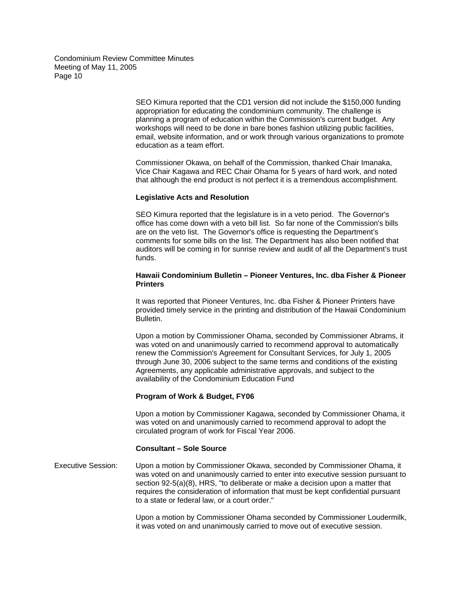> SEO Kimura reported that the CD1 version did not include the \$150,000 funding appropriation for educating the condominium community. The challenge is planning a program of education within the Commission's current budget. Any workshops will need to be done in bare bones fashion utilizing public facilities, email, website information, and or work through various organizations to promote education as a team effort.

Commissioner Okawa, on behalf of the Commission, thanked Chair Imanaka, Vice Chair Kagawa and REC Chair Ohama for 5 years of hard work, and noted that although the end product is not perfect it is a tremendous accomplishment.

## **Legislative Acts and Resolution**

SEO Kimura reported that the legislature is in a veto period. The Governor's office has come down with a veto bill list. So far none of the Commission's bills are on the veto list. The Governor's office is requesting the Department's comments for some bills on the list. The Department has also been notified that auditors will be coming in for sunrise review and audit of all the Department's trust funds.

# **Hawaii Condominium Bulletin – Pioneer Ventures, Inc. dba Fisher & Pioneer Printers**

It was reported that Pioneer Ventures, Inc. dba Fisher & Pioneer Printers have provided timely service in the printing and distribution of the Hawaii Condominium Bulletin.

Upon a motion by Commissioner Ohama, seconded by Commissioner Abrams, it was voted on and unanimously carried to recommend approval to automatically renew the Commission's Agreement for Consultant Services, for July 1, 2005 through June 30, 2006 subject to the same terms and conditions of the existing Agreements, any applicable administrative approvals, and subject to the availability of the Condominium Education Fund

# **Program of Work & Budget, FY06**

Upon a motion by Commissioner Kagawa, seconded by Commissioner Ohama, it was voted on and unanimously carried to recommend approval to adopt the circulated program of work for Fiscal Year 2006.

# **Consultant – Sole Source**

Executive Session: Upon a motion by Commissioner Okawa, seconded by Commissioner Ohama, it was voted on and unanimously carried to enter into executive session pursuant to section 92-5(a)(8), HRS, "to deliberate or make a decision upon a matter that requires the consideration of information that must be kept confidential pursuant to a state or federal law, or a court order."

> Upon a motion by Commissioner Ohama seconded by Commissioner Loudermilk, it was voted on and unanimously carried to move out of executive session.